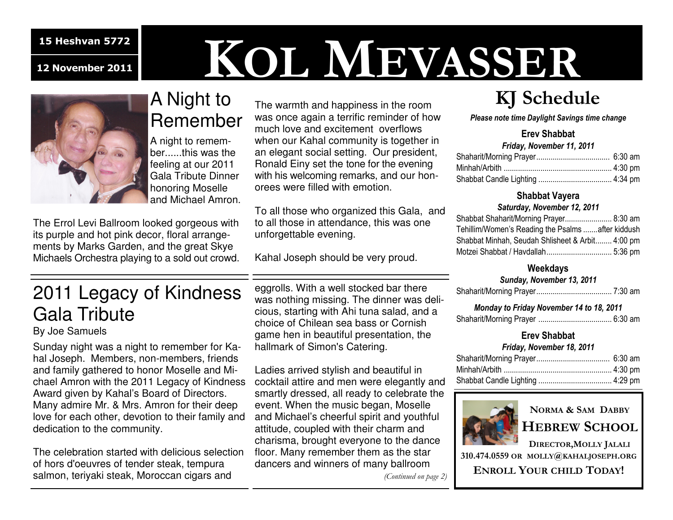# **KOL MEVASSER**<br>A Night to The warmth and happiness in the room KJ Schedu



## A Night to Remember

A night to remember......this was the feeling at our 2011 Gala Tribute Dinner honoring Moselle and Michael Amron.

The Errol Levi Ballroom looked gorgeous with its purple and hot pink decor, floral arrangements by Marks Garden, and the great Skye Michaels Orchestra playing to a sold out crowd.

The warmth and happiness in the room was once again a terrific reminder of how much love and excitement overflows when our Kahal community is together in an elegant social setting. Our president, Ronald Einy set the tone for the evening with his welcoming remarks, and our honorees were filled with emotion.

To all those who organized this Gala, and to all those in attendance, this was one unforgettable evening.

Kahal Joseph should be very proud.

## **KJ Schedule**

*Please note time Daylight Savings time change* 

#### **Erev Shabbat**

| Friday, November 11, 2011 |  |
|---------------------------|--|
|                           |  |
|                           |  |
|                           |  |

### **Shabbat Vayera**

#### *Saturday, November 12, 2011*

| Shabbat Shaharit/Morning Prayer 8:30 am           |  |
|---------------------------------------------------|--|
| Tehillim/Women's Reading the Psalms after kiddush |  |
| Shabbat Minhah, Seudah Shlisheet & Arbit 4:00 pm  |  |
|                                                   |  |

#### **Weekdays**

#### *Sunday, November 13, 2011*

|--|--|--|

| Monday to Friday November 14 to 18, 2011 |  |
|------------------------------------------|--|
|                                          |  |

#### **Erev Shabbat**

#### *Friday, November 18, 2011*



## **NORMA & SAM DABBY**

**HEBREW SCHOOL**

**DIRECTOR,MOLLY JALALI**

**310.474.0559 OR MOLLY @KAHALJOSEPH.ORG**

**ENROLL YOUR CHILD TODAY!** 

## 2011 Legacy of Kindness Gala Tribute

By Joe Samuels

Sunday night was a night to remember for Kahal Joseph. Members, non-members, friends and family gathered to honor Moselle and Michael Amron with the 2011 Legacy of Kindness Award given by Kahal's Board of Directors. Many admire Mr. & Mrs. Amron for their deep love for each other, devotion to their family and dedication to the community.

The celebration started with delicious selection of hors d'oeuvres of tender steak, tempura salmon, teriyaki steak, Moroccan cigars and

eggrolls. With a well stocked bar there was nothing missing. The dinner was delicious, starting with Ahi tuna salad, and a choice of Chilean sea bass or Cornish game hen in beautiful presentation, the hallmark of Simon's Catering.

Ladies arrived stylish and beautiful in cocktail attire and men were elegantly and smartly dressed, all ready to celebrate the event. When the music began, Moselle and Michael's cheerful spirit and youthful attitude, coupled with their charm and charisma, brought everyone to the dance floor. Many remember them as the star dancers and winners of many ballroom

*(Continued on page 2)*